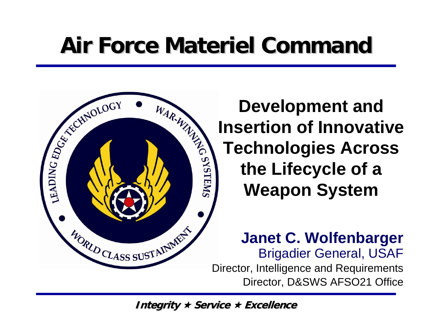# **Air Force Materiel Command Air Force Materiel Command**



**Development and Insertion of Innovative<br>
<b>Insertion of Innovative**<br> **Insertion of Innovative**<br> **Insertion of Innovative<br>
Technologies Across<br>
the Lifecycle of a<br>
Weapon System Technologies Across the Lifecycle of a Weapon System**

> **Janet C. Wolfenbarger** Brigadier General, USAF Director, Intelligence and Requirements Director, D&SWS AFSO21 Office

**Integrity ★ Service ★ Excellence**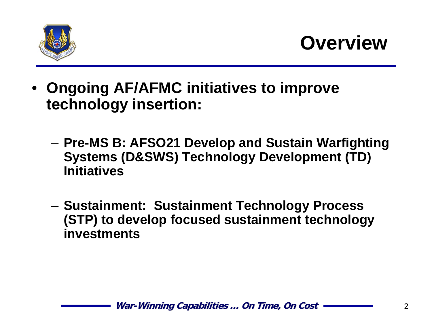

**Overview**

- **Ongoing AF/AFMC initiatives to improve technology insertion:** 
	- – **Pre-MS B: AFSO21 Develop and Sustain Warfighting Systems (D&SWS) Technology Development (TD) Initiatives**
	- **Sustainment: Sustainment Technology Process (STP) to develop focused sustainment technology investments**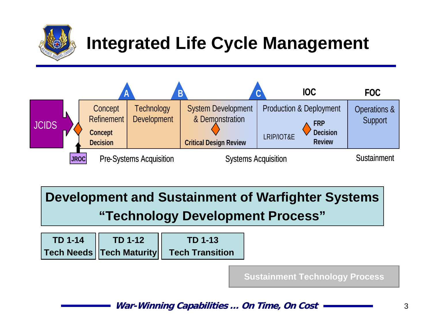

### **Integrated Life Cycle Management**



**Development and Sustainment of Warfighter Systems "Technology Development Process"**

| <b>TD 1-14</b> | <b>TD 1-12</b> | TD 1-13                                             |  |
|----------------|----------------|-----------------------------------------------------|--|
|                |                | <b>Tech Needs   Tech Maturity   Tech Transition</b> |  |

**Sustainment Technology Process**

**War-Winning Capabilities ... On Time, On Cost Cost Capabilities ... On Time, On Cost**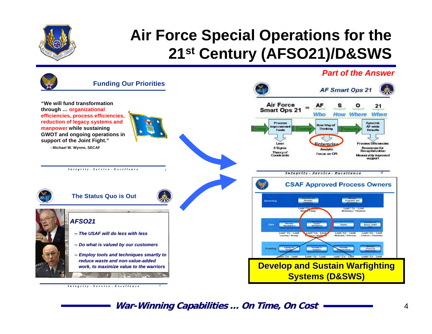

#### **Air Force Special Operations for the 21st Century (AFSO21)/D&SWS**

#### *Part of the Answer*

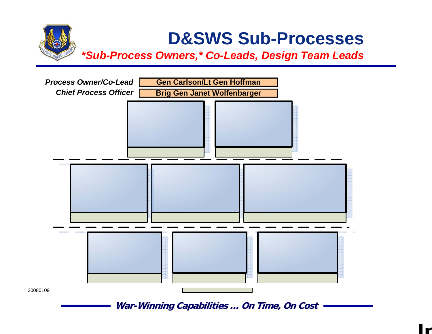#### **D&SWS Sub-Processes** *\*Sub-Process Owners,\* Co-Leads, Design Team Leads*

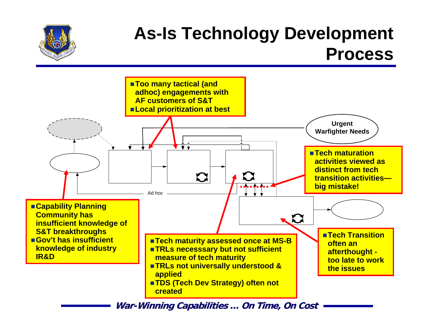#### **As-Is Technology Development Process**



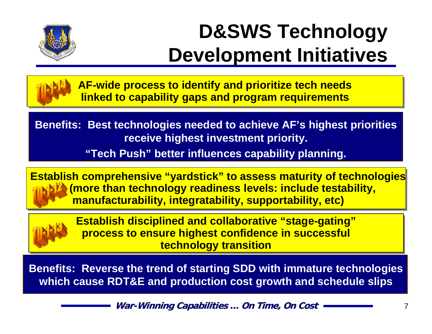

## **D&SWS Technology Development Initiatives**



**AF-wide process to identify and prioritize tech needs AF-wide process to identify and prioritize tech needs linked to capability gaps and program requirements linked to capability gaps and program requirements**

**Benefits: Best technologies needed to achieve AF's highest priorities receive highest investment priority.**

**"Tech Push" better influences capability planning.**

**Establish comprehensive "yardstick" to assess maturity of technologies Establish comprehensive "yardstick" to assess maturity of technologies (more than technology readiness levels: include testability, (more than technology readiness levels: include testability, manufacturability, integratability, supportability, etc) manufacturability, integratability, supportability, etc)**



**Establish disciplined and collaborative "stage-gating" Establish disciplined and collaborative "stage-gating" process to ensure highest confidence in successful process to ensure highest confidence in successful technology transition technology transition**

**Benefits: Reverse the trend of starting SDD with immature technologies which cause RDT&E and production cost growth and schedule slips**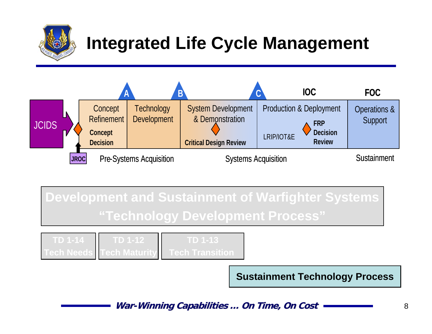

### **Integrated Life Cycle Management**



**Development and Sustainment of Warfighter Systems "Technology Development Process"**

| TD 1-14 | TD 1-12                           | TD 1-13                |
|---------|-----------------------------------|------------------------|
|         | <b>Tech Needs I Tech Maturity</b> | <b>lech Transition</b> |

**Sustainment Technology Process**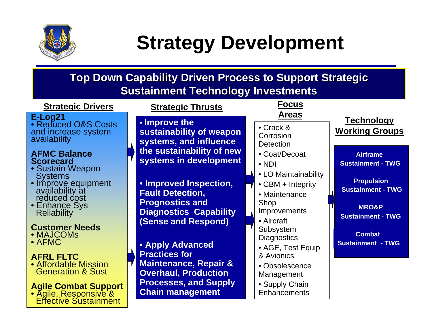

## **Strategy Development**

#### **Top Down Capability Driven Process to Support Strategic Sustainment Technology Investments**

| <b>Strategic Drivers</b>                                                                               | <b>Strategic Thrusts</b>                                                               | <b>Focus</b>                                                          |                                                                   |
|--------------------------------------------------------------------------------------------------------|----------------------------------------------------------------------------------------|-----------------------------------------------------------------------|-------------------------------------------------------------------|
| E-Log21<br>• Reduced O&S Costs<br>and increase system<br>availability                                  | • Improve the<br>sustainability of weapon<br>systems, and influence                    | <b>Areas</b><br>• Crack &<br>Corrosion<br><b>Detection</b>            | <b>Technology</b><br><b>Working Groups</b>                        |
| <b>AFMC Balance</b><br><b>Scorecard</b><br>• Sustain Weapon                                            | the sustainability of new<br>systems in development                                    | • Coat/Decoat<br>$\cdot$ NDI<br>• LO Maintainability                  | <b>Airframe</b><br><b>Sustainment - TWG</b>                       |
| <b>Systems</b><br>· Improve equipment<br>availability at<br>reduced cost<br>• Enhance Sys              | • Improved Inspection,<br><b>Fault Detection,</b><br><b>Prognostics and</b>            | $\bullet$ CBM + Integrity<br>• Maintenance<br>Shop                    | <b>Propulsion</b><br><b>Sustainment - TWG</b><br><b>MRO&amp;P</b> |
| <b>Reliability</b><br><b>Customer Needs</b><br>• MAJCOMS                                               | <b>Diagnostics Capability</b><br>(Sense and Respond)                                   | Improvements<br>• Aircraft<br>Subsystem                               | <b>Sustainment - TWG</b><br><b>Combat</b>                         |
| $\bullet$ AFMC<br><b>AFRL FLTC</b><br>• Affordable Mission                                             | • Apply Advanced<br><b>Practices for</b><br><b>Maintenance, Repair &amp;</b>           | <b>Diagnostics</b><br>• AGE, Test Equip<br>& Avionics                 | <b>Sustainment - TWG</b>                                          |
| <b>Generation &amp; Sust</b><br>Agile Combat Support<br>• Agile, Responsive &<br>Effective Sustainment | <b>Overhaul, Production</b><br><b>Processes, and Supply</b><br><b>Chain management</b> | • Obsolescence<br>Management<br>• Supply Chain<br><b>Enhancements</b> |                                                                   |
|                                                                                                        |                                                                                        |                                                                       |                                                                   |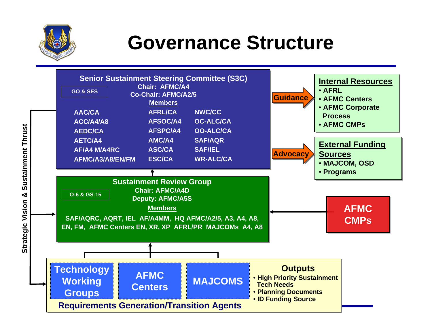

## **Governance Structure**

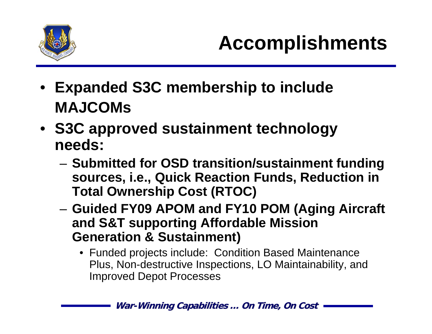

- **Expanded S3C membership to include MAJCOMs**
- **S3C approved sustainment technology needs:** 
	- – **Submitted for OSD transition/sustainment funding sources, i.e., Quick Reaction Funds, Reduction in Total Ownership Cost (RTOC)**
	- **Guided FY09 APOM and FY10 POM (Aging Aircraft and S&T supporting Affordable Mission Generation & Sustainment)**
		- Funded projects include: Condition Based Maintenance Plus, Non-destructive Inspections, LO Maintainability, and Improved Depot Processes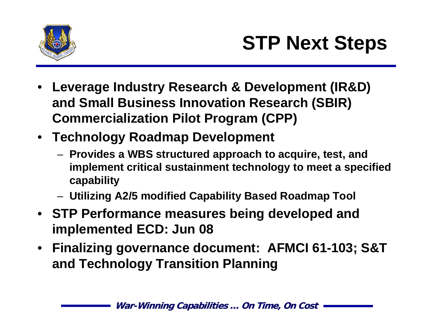

- **Leverage Industry Research & Development (IR&D) and Small Business Innovation Research (SBIR) Commercialization Pilot Program (CPP)**
- **Technology Roadmap Development**
	- **Provides a WBS structured approach to acquire, test, and implement critical sustainment technology to meet a specified capability**
	- **Utilizing A2/5 modified Capability Based Roadmap Tool**
- **STP Performance measures being developed and implemented ECD: Jun 08**
- **Finalizing governance document: AFMCI 61-103; S&T and Technology Transition Planning**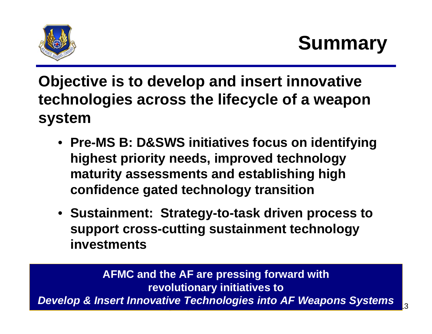

**Objective is to develop and insert innovative technologies across the lifecycle of a weapon system**

- **Pre-MS B: D&SWS initiatives focus on identifying highest priority needs, improved technology maturity assessments and establishing high confidence gated technology transition**
- **Sustainment: Strategy-to-task driven process to support cross-cutting sustainment technology investments**

**War-Winning Capabilities Winning Capabilities … On Time, On Cost On Time, On Cost**<sup>13</sup> **AFMC and the AF are pressing forward with revolutionary initiatives to**  *Develop & Insert Innovative Technologies into AF Weapons Systems*